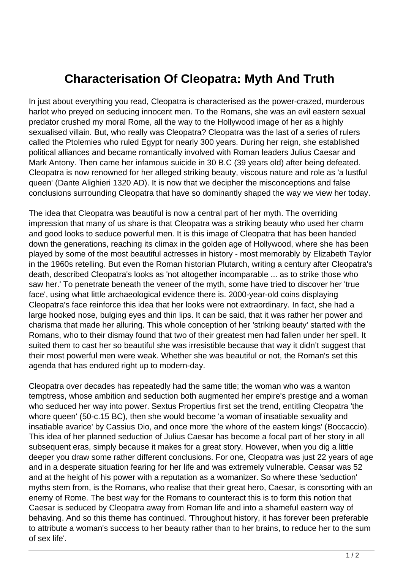## **Characterisation Of Cleopatra: Myth And Truth**

In just about everything you read, Cleopatra is characterised as the power-crazed, murderous harlot who preyed on seducing innocent men. To the Romans, she was an evil eastern sexual predator crushed my moral Rome, all the way to the Hollywood image of her as a highly sexualised villain. But, who really was Cleopatra? Cleopatra was the last of a series of rulers called the Ptolemies who ruled Egypt for nearly 300 years. During her reign, she established political alliances and became romantically involved with Roman leaders Julius Caesar and Mark Antony. Then came her infamous suicide in 30 B.C (39 years old) after being defeated. Cleopatra is now renowned for her alleged striking beauty, viscous nature and role as 'a lustful queen' (Dante Alighieri 1320 AD). It is now that we decipher the misconceptions and false conclusions surrounding Cleopatra that have so dominantly shaped the way we view her today.

The idea that Cleopatra was beautiful is now a central part of her myth. The overriding impression that many of us share is that Cleopatra was a striking beauty who used her charm and good looks to seduce powerful men. It is this image of Cleopatra that has been handed down the generations, reaching its climax in the golden age of Hollywood, where she has been played by some of the most beautiful actresses in history - most memorably by Elizabeth Taylor in the 1960s retelling. But even the Roman historian Plutarch, writing a century after Cleopatra's death, described Cleopatra's looks as 'not altogether incomparable ... as to strike those who saw her.' To penetrate beneath the veneer of the myth, some have tried to discover her 'true face', using what little archaeological evidence there is. 2000-year-old coins displaying Cleopatra's face reinforce this idea that her looks were not extraordinary. In fact, she had a large hooked nose, bulging eyes and thin lips. It can be said, that it was rather her power and charisma that made her alluring. This whole conception of her 'striking beauty' started with the Romans, who to their dismay found that two of their greatest men had fallen under her spell. It suited them to cast her so beautiful she was irresistible because that way it didn't suggest that their most powerful men were weak. Whether she was beautiful or not, the Roman's set this agenda that has endured right up to modern-day.

Cleopatra over decades has repeatedly had the same title; the woman who was a wanton temptress, whose ambition and seduction both augmented her empire's prestige and a woman who seduced her way into power. Sextus Propertius first set the trend, entitling Cleopatra 'the whore queen' (50-c.15 BC), then she would become 'a woman of insatiable sexuality and insatiable avarice' by Cassius Dio, and once more 'the whore of the eastern kings' (Boccaccio). This idea of her planned seduction of Julius Caesar has become a focal part of her story in all subsequent eras, simply because it makes for a great story. However, when you dig a little deeper you draw some rather different conclusions. For one, Cleopatra was just 22 years of age and in a desperate situation fearing for her life and was extremely vulnerable. Ceasar was 52 and at the height of his power with a reputation as a womanizer. So where these 'seduction' myths stem from, is the Romans, who realise that their great hero, Caesar, is consorting with an enemy of Rome. The best way for the Romans to counteract this is to form this notion that Caesar is seduced by Cleopatra away from Roman life and into a shameful eastern way of behaving. And so this theme has continued. 'Throughout history, it has forever been preferable to attribute a woman's success to her beauty rather than to her brains, to reduce her to the sum of sex life'.